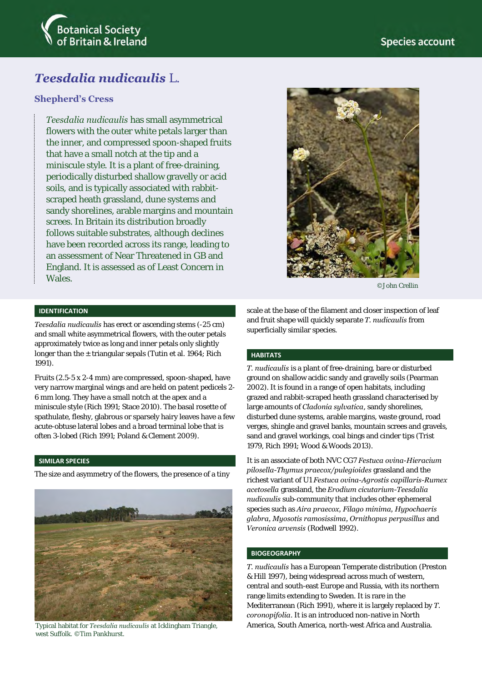

# *Teesdalia nudicaulis* L.

### **Shepherd's Cress**

*Teesdalia nudicaulis* has small asymmetrical flowers with the outer white petals larger than the inner, and compressed spoon-shaped fruits that have a small notch at the tip and a miniscule style. It is a plant of free-draining, periodically disturbed shallow gravelly or acid soils, and is typically associated with rabbitscraped heath grassland, dune systems and sandy shorelines, arable margins and mountain screes. In Britain its distribution broadly follows suitable substrates, although declines have been recorded across its range, leading to an assessment of Near Threatened in GB and England. It is assessed as of Least Concern in Wales.



©John Crellin

#### **IDENTIFICATION**

*Teesdalia nudicaulis* has erect or ascending stems (-25 cm) and small white asymmetrical flowers, with the outer petals approximately twice as long and inner petals only slightly longer than the  $\pm$  triangular sepals (Tutin et al. 1964; Rich 1991).

Fruits (2.5-5 x 2-4 mm) are compressed, spoon-shaped, have very narrow marginal wings and are held on patent pedicels 2- 6 mm long. They have a small notch at the apex and a miniscule style (Rich 1991; Stace 2010). The basal rosette of spathulate, fleshy, glabrous or sparsely hairy leaves have a few acute-obtuse lateral lobes and a broad terminal lobe that is often 3-lobed (Rich 1991; Poland & Clement 2009).

#### **SIMILAR SPECIES**

The size and asymmetry of the flowers, the presence of a tiny



west Suffolk. ©Tim Pankhurst.

scale at the base of the filament and closer inspection of leaf and fruit shape will quickly separate *T. nudicaulis* from superficially similar species.

#### **HABITATS**

*T. nudicaulis* is a plant of free-draining, bare or disturbed ground on shallow acidic sandy and gravelly soils (Pearman 2002). It is found in a range of open habitats, including grazed and rabbit-scraped heath grassland characterised by large amounts of *Cladonia sylvatica*, sandy shorelines, disturbed dune systems, arable margins, waste ground, road verges, shingle and gravel banks, mountain screes and gravels, sand and gravel workings, coal bings and cinder tips (Trist 1979, Rich 1991; Wood & Woods 2013).

It is an associate of both NVC CG7 *Festuca ovina-Hieracium pilosella-Thymus praecox/pulegioides* grassland and the richest variant of U1 *Festuca ovina-Agrostis capillaris-Rumex acetosella* grassland, the *Erodium cicutarium-Teesdalia nudicaulis* sub-community that includes other ephemeral species such as *Aira praecox, Filago minima, Hypochaeris glabra, Myosotis ramosissima, Ornithopus perpusillus* and *Veronica arvensis* (Rodwell 1992).

#### **BIOGEOGRAPHY**

*T. nudicaulis* has a European Temperate distribution (Preston & Hill 1997), being widespread across much of western, central and south-east Europe and Russia, with its northern range limits extending to Sweden. It is rare in the Mediterranean (Rich 1991), where it is largely replaced by *T. coronopifolia*. It is an introduced non-native in North Typical habitat for *Teesdalia nudicaulis* at Icklingham Triangle, America, South America, north-west Africa and Australia.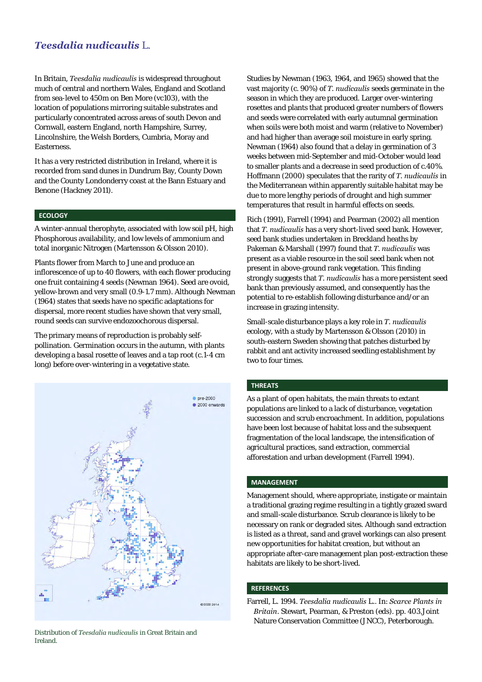### *Teesdalia nudicaulis* L.

In Britain, *Teesdalia nudicaulis* is widespread throughout much of central and northern Wales, England and Scotland from sea-level to 450m on Ben More (vc103), with the location of populations mirroring suitable substrates and particularly concentrated across areas of south Devon and Cornwall, eastern England, north Hampshire, Surrey, Lincolnshire, the Welsh Borders, Cumbria, Moray and Easterness.

It has a very restricted distribution in Ireland, where it is recorded from sand dunes in Dundrum Bay, County Down and the County Londonderry coast at the Bann Estuary and Benone (Hackney 2011).

#### **ECOLOGY**

A winter-annual therophyte, associated with low soil pH, high Phosphorous availability, and low levels of ammonium and total inorganic Nitrogen (Martensson & Olsson 2010).

Plants flower from March to June and produce an inflorescence of up to 40 flowers, with each flower producing one fruit containing 4 seeds (Newman 1964). Seed are ovoid, yellow-brown and very small (0.9-1.7 mm). Although Newman (1964) states that seeds have no specific adaptations for dispersal, more recent studies have shown that very small, round seeds can survive endozoochorous dispersal.

The primary means of reproduction is probably selfpollination. Germination occurs in the autumn, with plants developing a basal rosette of leaves and a tap root (c.1-4 cm long) before over-wintering in a vegetative state.



Distribution of *Teesdalia nudicaulis* in Great Britain and Ireland.

Studies by Newman (1963, 1964, and 1965) showed that the vast majority (c. 90%) of *T. nudicaulis* seeds germinate in the season in which they are produced. Larger over-wintering rosettes and plants that produced greater numbers of flowers and seeds were correlated with early autumnal germination when soils were both moist and warm (relative to November) and had higher than average soil moisture in early spring. Newman (1964) also found that a delay in germination of 3 weeks between mid-September and mid-October would lead to smaller plants and a decrease in seed production of c.40%. Hoffmann (2000) speculates that the rarity of *T. nudicaulis* in the Mediterranean within apparently suitable habitat may be due to more lengthy periods of drought and high summer temperatures that result in harmful effects on seeds.

Rich (1991), Farrell (1994) and Pearman (2002) all mention that *T. nudicaulis* has a very short-lived seed bank. However, seed bank studies undertaken in Breckland heaths by Pakeman & Marshall (1997) found that *T. nudicaulis* was present as a viable resource in the soil seed bank when not present in above-ground rank vegetation. This finding strongly suggests that *T. nudicaulis* has a more persistent seed bank than previously assumed, and consequently has the potential to re-establish following disturbance and/or an increase in grazing intensity.

Small-scale disturbance plays a key role in *T. nudicaulis* ecology, with a study by Martensson & Olsson (2010) in south-eastern Sweden showing that patches disturbed by rabbit and ant activity increased seedling establishment by two to four times.

#### **THREATS**

As a plant of open habitats, the main threats to extant populations are linked to a lack of disturbance, vegetation succession and scrub encroachment. In addition, populations have been lost because of habitat loss and the subsequent fragmentation of the local landscape, the intensification of agricultural practices, sand extraction, commercial afforestation and urban development (Farrell 1994).

#### **MANAGEMENT**

Management should, where appropriate, instigate or maintain a traditional grazing regime resulting in a tightly grazed sward and small-scale disturbance. Scrub clearance is likely to be necessary on rank or degraded sites. Although sand extraction is listed as a threat, sand and gravel workings can also present new opportunities for habitat creation, but without an appropriate after-care management plan post-extraction these habitats are likely to be short-lived.

#### **REFERENCES**

Farrell, L. 1994. *Teesdalia nudicaulis* L.. In: *Scarce Plants in Britain*. Stewart, Pearman, & Preston (eds). pp. 403.Joint Nature Conservation Committee (JNCC), Peterborough.